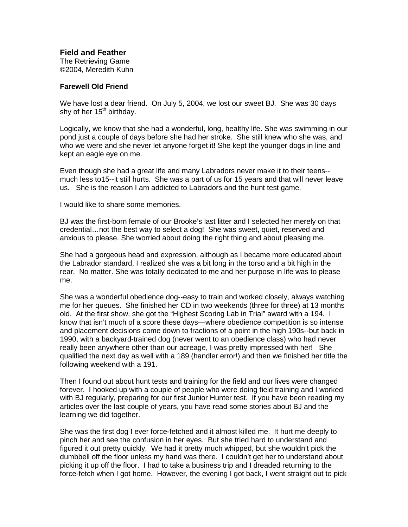**Field and Feather**

The Retrieving Game ©2004, Meredith Kuhn

## **Farewell Old Friend**

We have lost a dear friend. On July 5, 2004, we lost our sweet BJ. She was 30 days shy of her  $15<sup>th</sup>$  birthday.

Logically, we know that she had a wonderful, long, healthy life. She was swimming in our pond just a couple of days before she had her stroke. She still knew who she was, and who we were and she never let anyone forget it! She kept the younger dogs in line and kept an eagle eye on me.

Even though she had a great life and many Labradors never make it to their teens- much less to15--it still hurts. She was a part of us for 15 years and that will never leave us. She is the reason I am addicted to Labradors and the hunt test game.

I would like to share some memories.

BJ was the first-born female of our Brooke's last litter and I selected her merely on that credential…not the best way to select a dog! She was sweet, quiet, reserved and anxious to please. She worried about doing the right thing and about pleasing me.

She had a gorgeous head and expression, although as I became more educated about the Labrador standard, I realized she was a bit long in the torso and a bit high in the rear. No matter. She was totally dedicated to me and her purpose in life was to please me.

She was a wonderful obedience dog--easy to train and worked closely, always watching me for her queues. She finished her CD in two weekends (three for three) at 13 months old. At the first show, she got the "Highest Scoring Lab in Trial" award with a 194. I know that isn't much of a score these days—where obedience competition is so intense and placement decisions come down to fractions of a point in the high 190s--but back in 1990, with a backyard-trained dog (never went to an obedience class) who had never really been anywhere other than our acreage, I was pretty impressed with her! She qualified the next day as well with a 189 (handler error!) and then we finished her title the following weekend with a 191.

Then I found out about hunt tests and training for the field and our lives were changed forever. I hooked up with a couple of people who were doing field training and I worked with BJ regularly, preparing for our first Junior Hunter test. If you have been reading my articles over the last couple of years, you have read some stories about BJ and the learning we did together.

She was the first dog I ever force-fetched and it almost killed me. It hurt me deeply to pinch her and see the confusion in her eyes. But she tried hard to understand and figured it out pretty quickly. We had it pretty much whipped, but she wouldn't pick the dumbbell off the floor unless my hand was there. I couldn't get her to understand about picking it up off the floor. I had to take a business trip and I dreaded returning to the force-fetch when I got home. However, the evening I got back, I went straight out to pick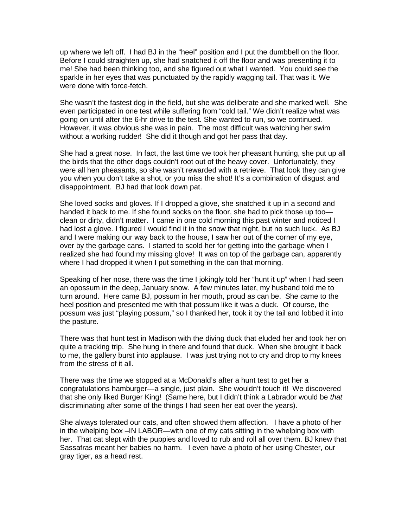up where we left off. I had BJ in the "heel" position and I put the dumbbell on the floor. Before I could straighten up, she had snatched it off the floor and was presenting it to me! She had been thinking too, and she figured out what I wanted. You could see the sparkle in her eyes that was punctuated by the rapidly wagging tail. That was it. We were done with force-fetch.

She wasn't the fastest dog in the field, but she was deliberate and she marked well. She even participated in one test while suffering from "cold tail." We didn't realize what was going on until after the 6-hr drive to the test. She wanted to run, so we continued. However, it was obvious she was in pain. The most difficult was watching her swim without a working rudder! She did it though and got her pass that day.

She had a great nose. In fact, the last time we took her pheasant hunting, she put up all the birds that the other dogs couldn't root out of the heavy cover. Unfortunately, they were all hen pheasants, so she wasn't rewarded with a retrieve. That look they can give you when you don't take a shot, or you miss the shot! It's a combination of disgust and disappointment. BJ had that look down pat.

She loved socks and gloves. If I dropped a glove, she snatched it up in a second and handed it back to me. If she found socks on the floor, she had to pick those up too clean or dirty, didn't matter. I came in one cold morning this past winter and noticed I had lost a glove. I figured I would find it in the snow that night, but no such luck. As BJ and I were making our way back to the house, I saw her out of the corner of my eye, over by the garbage cans. I started to scold her for getting into the garbage when I realized she had found my missing glove! It was on top of the garbage can, apparently where I had dropped it when I put something in the can that morning.

Speaking of her nose, there was the time I jokingly told her "hunt it up" when I had seen an opossum in the deep, January snow. A few minutes later, my husband told me to turn around. Here came BJ, possum in her mouth, proud as can be. She came to the heel position and presented me with that possum like it was a duck. Of course, the possum was just "playing possum," so I thanked her, took it by the tail and lobbed it into the pasture.

There was that hunt test in Madison with the diving duck that eluded her and took her on quite a tracking trip. She hung in there and found that duck. When she brought it back to me, the gallery burst into applause. I was just trying not to cry and drop to my knees from the stress of it all.

There was the time we stopped at a McDonald's after a hunt test to get her a congratulations hamburger—a single, just plain. She wouldn't touch it! We discovered that she only liked Burger King! (Same here, but I didn't think a Labrador would be that discriminating after some of the things I had seen her eat over the years).

She always tolerated our cats, and often showed them affection. I have a photo of her in the whelping box –IN LABOR—with one of my cats sitting in the whelping box with her. That cat slept with the puppies and loved to rub and roll all over them. BJ knew that Sassafras meant her babies no harm. I even have a photo of her using Chester, our gray tiger, as a head rest.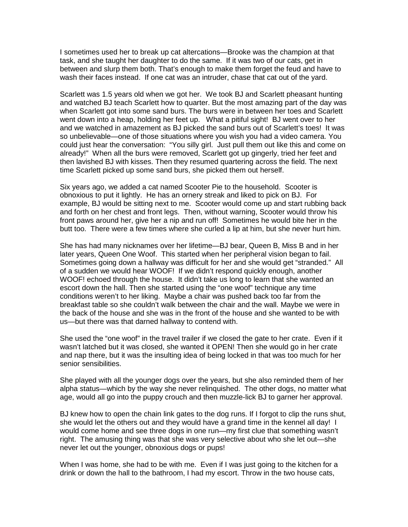I sometimes used her to break up cat altercations—Brooke was the champion at that task, and she taught her daughter to do the same. If it was two of our cats, get in between and slurp them both. That's enough to make them forget the feud and have to wash their faces instead. If one cat was an intruder, chase that cat out of the yard.

Scarlett was 1.5 years old when we got her. We took BJ and Scarlett pheasant hunting and watched BJ teach Scarlett how to quarter. But the most amazing part of the day was when Scarlett got into some sand burs. The burs were in between her toes and Scarlett went down into a heap, holding her feet up. What a pitiful sight! BJ went over to her and we watched in amazement as BJ picked the sand burs out of Scarlett's toes! It was so unbelievable—one of those situations where you wish you had a video camera. You could just hear the conversation: "You silly girl. Just pull them out like this and come on already!" When all the burs were removed, Scarlett got up gingerly, tried her feet and then lavished BJ with kisses. Then they resumed quartering across the field. The next time Scarlett picked up some sand burs, she picked them out herself.

Six years ago, we added a cat named Scooter Pie to the household. Scooter is obnoxious to put it lightly. He has an ornery streak and liked to pick on BJ. For example, BJ would be sitting next to me. Scooter would come up and start rubbing back and forth on her chest and front legs. Then, without warning, Scooter would throw his front paws around her, give her a nip and run off! Sometimes he would bite her in the butt too. There were a few times where she curled a lip at him, but she never hurt him.

She has had many nicknames over her lifetime—BJ bear, Queen B, Miss B and in her later years, Queen One Woof. This started when her peripheral vision began to fail. Sometimes going down a hallway was difficult for her and she would get "stranded." All of a sudden we would hear WOOF! If we didn't respond quickly enough, another WOOF! echoed through the house. It didn't take us long to learn that she wanted an escort down the hall. Then she started using the "one woof" technique any time conditions weren't to her liking. Maybe a chair was pushed back too far from the breakfast table so she couldn't walk between the chair and the wall. Maybe we were in the back of the house and she was in the front of the house and she wanted to be with us—but there was that darned hallway to contend with.

She used the "one woof" in the travel trailer if we closed the gate to her crate. Even if it wasn't latched but it was closed, she wanted it OPEN! Then she would go in her crate and nap there, but it was the insulting idea of being locked in that was too much for her senior sensibilities.

She played with all the younger dogs over the years, but she also reminded them of her alpha status—which by the way she never relinquished. The other dogs, no matter what age, would all go into the puppy crouch and then muzzle-lick BJ to garner her approval.

BJ knew how to open the chain link gates to the dog runs. If I forgot to clip the runs shut, she would let the others out and they would have a grand time in the kennel all day! I would come home and see three dogs in one run—my first clue that something wasn't right. The amusing thing was that she was very selective about who she let out—she never let out the younger, obnoxious dogs or pups!

When I was home, she had to be with me. Even if I was just going to the kitchen for a drink or down the hall to the bathroom, I had my escort. Throw in the two house cats,